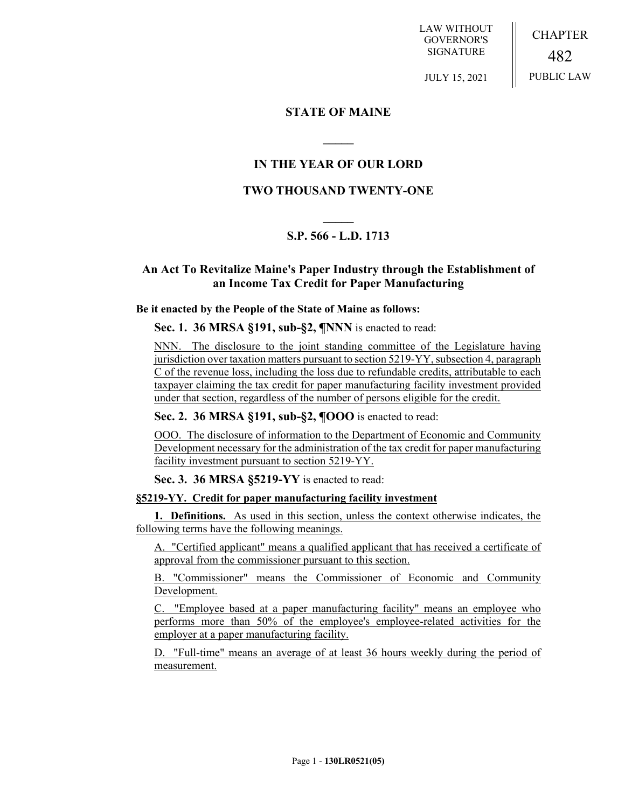LAW WITHOUT GOVERNOR'S SIGNATURE

JULY 15, 2021

CHAPTER 482 PUBLIC LAW

**STATE OF MAINE**

## **IN THE YEAR OF OUR LORD**

**\_\_\_\_\_**

## **TWO THOUSAND TWENTY-ONE**

# **\_\_\_\_\_ S.P. 566 - L.D. 1713**

## **An Act To Revitalize Maine's Paper Industry through the Establishment of an Income Tax Credit for Paper Manufacturing**

#### **Be it enacted by the People of the State of Maine as follows:**

**Sec. 1. 36 MRSA §191, sub-§2, ¶NNN** is enacted to read:

NNN. The disclosure to the joint standing committee of the Legislature having jurisdiction over taxation matters pursuant to section 5219-YY, subsection 4, paragraph C of the revenue loss, including the loss due to refundable credits, attributable to each taxpayer claiming the tax credit for paper manufacturing facility investment provided under that section, regardless of the number of persons eligible for the credit.

#### **Sec. 2. 36 MRSA §191, sub-§2, ¶OOO** is enacted to read:

OOO. The disclosure of information to the Department of Economic and Community Development necessary for the administration of the tax credit for paper manufacturing facility investment pursuant to section 5219-YY.

#### **Sec. 3. 36 MRSA §5219-YY** is enacted to read:

### **§5219-YY. Credit for paper manufacturing facility investment**

**1. Definitions.** As used in this section, unless the context otherwise indicates, the following terms have the following meanings.

A. "Certified applicant" means a qualified applicant that has received a certificate of approval from the commissioner pursuant to this section.

B. "Commissioner" means the Commissioner of Economic and Community Development.

C. "Employee based at a paper manufacturing facility" means an employee who performs more than 50% of the employee's employee-related activities for the employer at a paper manufacturing facility.

D. "Full-time" means an average of at least 36 hours weekly during the period of measurement.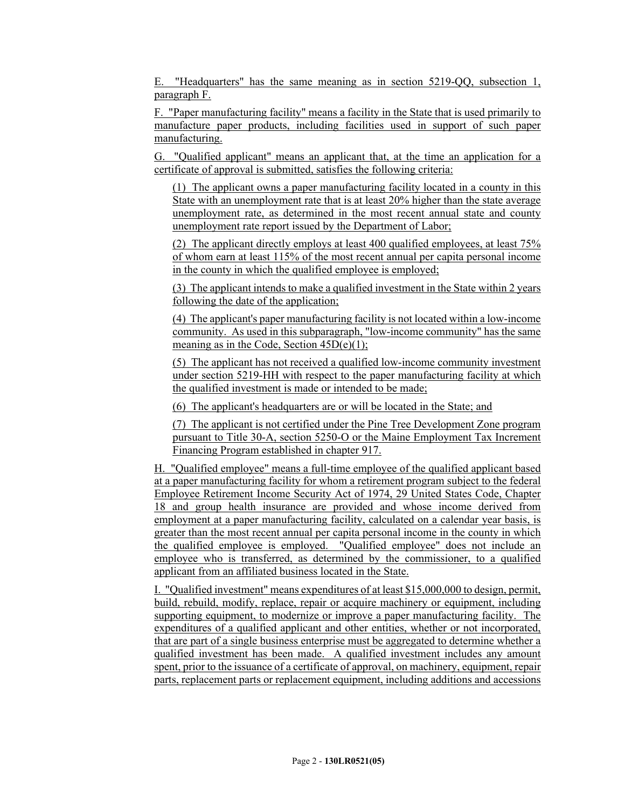E. "Headquarters" has the same meaning as in section 5219-QQ, subsection 1, paragraph F.

F. "Paper manufacturing facility" means a facility in the State that is used primarily to manufacture paper products, including facilities used in support of such paper manufacturing.

G. "Qualified applicant" means an applicant that, at the time an application for a certificate of approval is submitted, satisfies the following criteria:

(1) The applicant owns a paper manufacturing facility located in a county in this State with an unemployment rate that is at least 20% higher than the state average unemployment rate, as determined in the most recent annual state and county unemployment rate report issued by the Department of Labor;

(2) The applicant directly employs at least 400 qualified employees, at least 75% of whom earn at least 115% of the most recent annual per capita personal income in the county in which the qualified employee is employed;

(3) The applicant intends to make a qualified investment in the State within 2 years following the date of the application;

(4) The applicant's paper manufacturing facility is not located within a low-income community. As used in this subparagraph, "low-income community" has the same meaning as in the Code, Section 45D(e)(1);

(5) The applicant has not received a qualified low-income community investment under section 5219-HH with respect to the paper manufacturing facility at which the qualified investment is made or intended to be made;

(6) The applicant's headquarters are or will be located in the State; and

(7) The applicant is not certified under the Pine Tree Development Zone program pursuant to Title 30-A, section 5250-O or the Maine Employment Tax Increment Financing Program established in chapter 917.

H. "Qualified employee" means a full-time employee of the qualified applicant based at a paper manufacturing facility for whom a retirement program subject to the federal Employee Retirement Income Security Act of 1974, 29 United States Code, Chapter 18 and group health insurance are provided and whose income derived from employment at a paper manufacturing facility, calculated on a calendar year basis, is greater than the most recent annual per capita personal income in the county in which the qualified employee is employed. "Qualified employee" does not include an employee who is transferred, as determined by the commissioner, to a qualified applicant from an affiliated business located in the State.

I. "Qualified investment" means expenditures of at least \$15,000,000 to design, permit, build, rebuild, modify, replace, repair or acquire machinery or equipment, including supporting equipment, to modernize or improve a paper manufacturing facility. The expenditures of a qualified applicant and other entities, whether or not incorporated, that are part of a single business enterprise must be aggregated to determine whether a qualified investment has been made. A qualified investment includes any amount spent, prior to the issuance of a certificate of approval, on machinery, equipment, repair parts, replacement parts or replacement equipment, including additions and accessions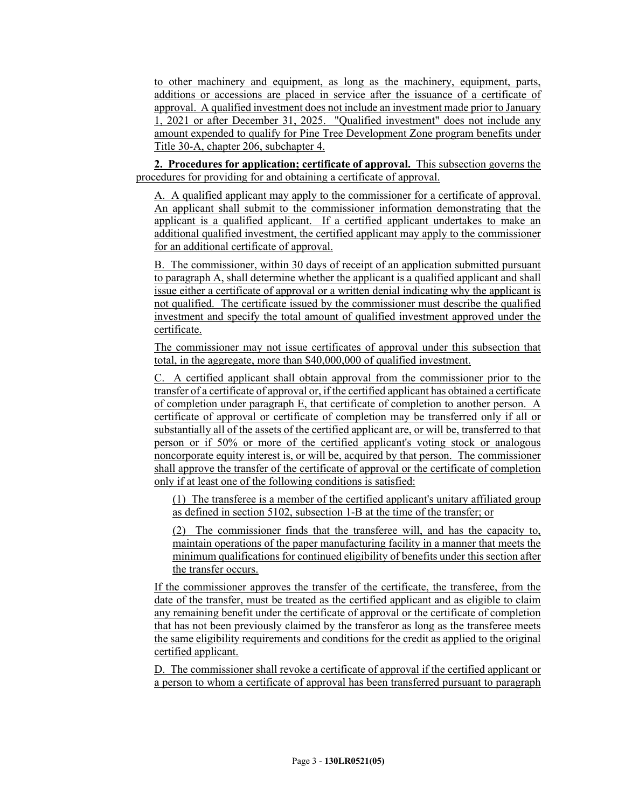to other machinery and equipment, as long as the machinery, equipment, parts, additions or accessions are placed in service after the issuance of a certificate of approval. A qualified investment does not include an investment made prior to January 1, 2021 or after December 31, 2025. "Qualified investment" does not include any amount expended to qualify for Pine Tree Development Zone program benefits under Title 30-A, chapter 206, subchapter 4.

**2. Procedures for application; certificate of approval.** This subsection governs the procedures for providing for and obtaining a certificate of approval.

A. A qualified applicant may apply to the commissioner for a certificate of approval. An applicant shall submit to the commissioner information demonstrating that the applicant is a qualified applicant. If a certified applicant undertakes to make an additional qualified investment, the certified applicant may apply to the commissioner for an additional certificate of approval.

B. The commissioner, within 30 days of receipt of an application submitted pursuant to paragraph A, shall determine whether the applicant is a qualified applicant and shall issue either a certificate of approval or a written denial indicating why the applicant is not qualified. The certificate issued by the commissioner must describe the qualified investment and specify the total amount of qualified investment approved under the certificate.

The commissioner may not issue certificates of approval under this subsection that total, in the aggregate, more than \$40,000,000 of qualified investment.

C. A certified applicant shall obtain approval from the commissioner prior to the transfer of a certificate of approval or, if the certified applicant has obtained a certificate of completion under paragraph E, that certificate of completion to another person. A certificate of approval or certificate of completion may be transferred only if all or substantially all of the assets of the certified applicant are, or will be, transferred to that person or if 50% or more of the certified applicant's voting stock or analogous noncorporate equity interest is, or will be, acquired by that person. The commissioner shall approve the transfer of the certificate of approval or the certificate of completion only if at least one of the following conditions is satisfied:

(1) The transferee is a member of the certified applicant's unitary affiliated group as defined in section 5102, subsection 1-B at the time of the transfer; or

(2) The commissioner finds that the transferee will, and has the capacity to, maintain operations of the paper manufacturing facility in a manner that meets the minimum qualifications for continued eligibility of benefits under this section after the transfer occurs.

If the commissioner approves the transfer of the certificate, the transferee, from the date of the transfer, must be treated as the certified applicant and as eligible to claim any remaining benefit under the certificate of approval or the certificate of completion that has not been previously claimed by the transferor as long as the transferee meets the same eligibility requirements and conditions for the credit as applied to the original certified applicant.

D. The commissioner shall revoke a certificate of approval if the certified applicant or a person to whom a certificate of approval has been transferred pursuant to paragraph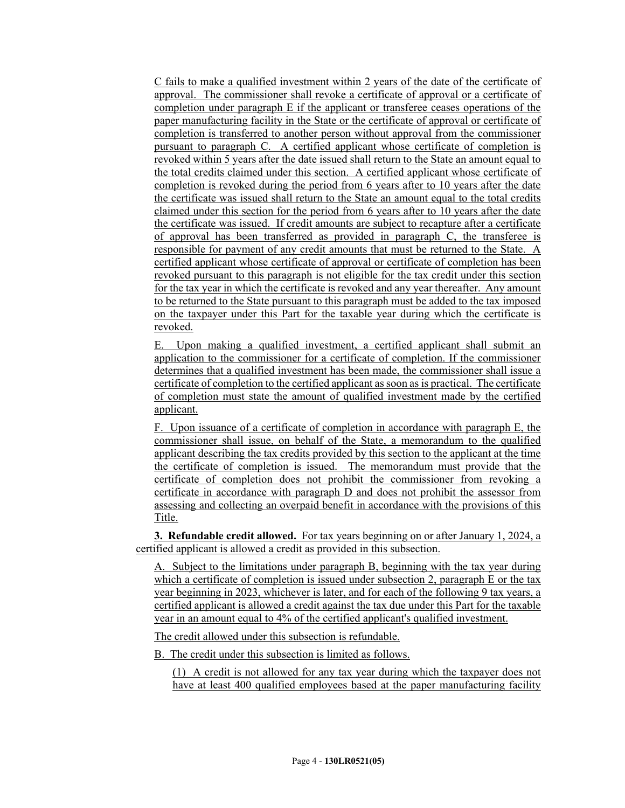C fails to make a qualified investment within 2 years of the date of the certificate of approval. The commissioner shall revoke a certificate of approval or a certificate of completion under paragraph E if the applicant or transferee ceases operations of the paper manufacturing facility in the State or the certificate of approval or certificate of completion is transferred to another person without approval from the commissioner pursuant to paragraph C. A certified applicant whose certificate of completion is revoked within 5 years after the date issued shall return to the State an amount equal to the total credits claimed under this section. A certified applicant whose certificate of completion is revoked during the period from 6 years after to 10 years after the date the certificate was issued shall return to the State an amount equal to the total credits claimed under this section for the period from 6 years after to 10 years after the date the certificate was issued. If credit amounts are subject to recapture after a certificate of approval has been transferred as provided in paragraph C, the transferee is responsible for payment of any credit amounts that must be returned to the State. A certified applicant whose certificate of approval or certificate of completion has been revoked pursuant to this paragraph is not eligible for the tax credit under this section for the tax year in which the certificate is revoked and any year thereafter. Any amount to be returned to the State pursuant to this paragraph must be added to the tax imposed on the taxpayer under this Part for the taxable year during which the certificate is revoked.

E. Upon making a qualified investment, a certified applicant shall submit an application to the commissioner for a certificate of completion. If the commissioner determines that a qualified investment has been made, the commissioner shall issue a certificate of completion to the certified applicant as soon as is practical. The certificate of completion must state the amount of qualified investment made by the certified applicant.

F. Upon issuance of a certificate of completion in accordance with paragraph E, the commissioner shall issue, on behalf of the State, a memorandum to the qualified applicant describing the tax credits provided by this section to the applicant at the time the certificate of completion is issued. The memorandum must provide that the certificate of completion does not prohibit the commissioner from revoking a certificate in accordance with paragraph D and does not prohibit the assessor from assessing and collecting an overpaid benefit in accordance with the provisions of this Title.

**3. Refundable credit allowed.** For tax years beginning on or after January 1, 2024, a certified applicant is allowed a credit as provided in this subsection.

A. Subject to the limitations under paragraph B, beginning with the tax year during which a certificate of completion is issued under subsection 2, paragraph E or the tax year beginning in 2023, whichever is later, and for each of the following 9 tax years, a certified applicant is allowed a credit against the tax due under this Part for the taxable year in an amount equal to 4% of the certified applicant's qualified investment.

The credit allowed under this subsection is refundable.

B. The credit under this subsection is limited as follows.

(1) A credit is not allowed for any tax year during which the taxpayer does not have at least 400 qualified employees based at the paper manufacturing facility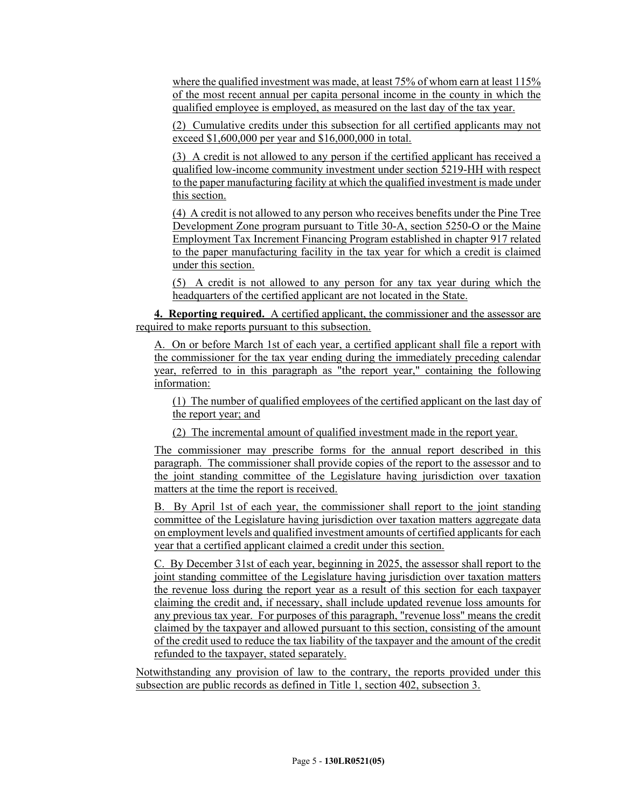where the qualified investment was made, at least 75% of whom earn at least 115% of the most recent annual per capita personal income in the county in which the qualified employee is employed, as measured on the last day of the tax year.

(2) Cumulative credits under this subsection for all certified applicants may not exceed \$1,600,000 per year and \$16,000,000 in total.

(3) A credit is not allowed to any person if the certified applicant has received a qualified low-income community investment under section 5219-HH with respect to the paper manufacturing facility at which the qualified investment is made under this section.

(4) A credit is not allowed to any person who receives benefits under the Pine Tree Development Zone program pursuant to Title 30-A, section 5250-O or the Maine Employment Tax Increment Financing Program established in chapter 917 related to the paper manufacturing facility in the tax year for which a credit is claimed under this section.

(5) A credit is not allowed to any person for any tax year during which the headquarters of the certified applicant are not located in the State.

**4. Reporting required.** A certified applicant, the commissioner and the assessor are required to make reports pursuant to this subsection.

A. On or before March 1st of each year, a certified applicant shall file a report with the commissioner for the tax year ending during the immediately preceding calendar year, referred to in this paragraph as "the report year," containing the following information:

(1) The number of qualified employees of the certified applicant on the last day of the report year; and

(2) The incremental amount of qualified investment made in the report year.

The commissioner may prescribe forms for the annual report described in this paragraph. The commissioner shall provide copies of the report to the assessor and to the joint standing committee of the Legislature having jurisdiction over taxation matters at the time the report is received.

B. By April 1st of each year, the commissioner shall report to the joint standing committee of the Legislature having jurisdiction over taxation matters aggregate data on employment levels and qualified investment amounts of certified applicants for each year that a certified applicant claimed a credit under this section.

C. By December 31st of each year, beginning in 2025, the assessor shall report to the joint standing committee of the Legislature having jurisdiction over taxation matters the revenue loss during the report year as a result of this section for each taxpayer claiming the credit and, if necessary, shall include updated revenue loss amounts for any previous tax year. For purposes of this paragraph, "revenue loss" means the credit claimed by the taxpayer and allowed pursuant to this section, consisting of the amount of the credit used to reduce the tax liability of the taxpayer and the amount of the credit refunded to the taxpayer, stated separately.

Notwithstanding any provision of law to the contrary, the reports provided under this subsection are public records as defined in Title 1, section 402, subsection 3.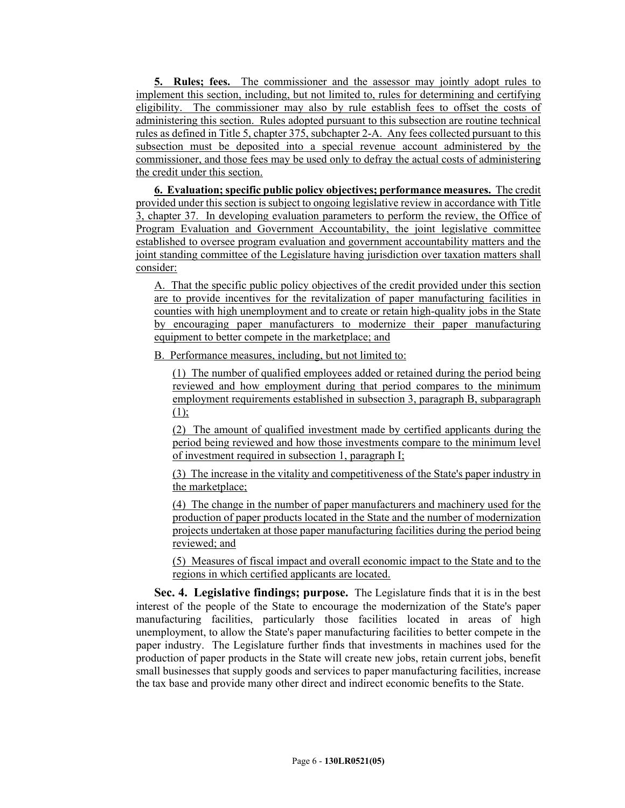**5. Rules; fees.** The commissioner and the assessor may jointly adopt rules to implement this section, including, but not limited to, rules for determining and certifying eligibility. The commissioner may also by rule establish fees to offset the costs of administering this section. Rules adopted pursuant to this subsection are routine technical rules as defined in Title 5, chapter 375, subchapter 2-A. Any fees collected pursuant to this subsection must be deposited into a special revenue account administered by the commissioner, and those fees may be used only to defray the actual costs of administering the credit under this section.

**6. Evaluation; specific public policy objectives; performance measures.** The credit provided under this section is subject to ongoing legislative review in accordance with Title 3, chapter 37. In developing evaluation parameters to perform the review, the Office of Program Evaluation and Government Accountability, the joint legislative committee established to oversee program evaluation and government accountability matters and the joint standing committee of the Legislature having jurisdiction over taxation matters shall consider:

A. That the specific public policy objectives of the credit provided under this section are to provide incentives for the revitalization of paper manufacturing facilities in counties with high unemployment and to create or retain high-quality jobs in the State by encouraging paper manufacturers to modernize their paper manufacturing equipment to better compete in the marketplace; and

B. Performance measures, including, but not limited to:

(1) The number of qualified employees added or retained during the period being reviewed and how employment during that period compares to the minimum employment requirements established in subsection 3, paragraph B, subparagraph  $(1)$ ;

(2) The amount of qualified investment made by certified applicants during the period being reviewed and how those investments compare to the minimum level of investment required in subsection 1, paragraph I;

(3) The increase in the vitality and competitiveness of the State's paper industry in the marketplace;

(4) The change in the number of paper manufacturers and machinery used for the production of paper products located in the State and the number of modernization projects undertaken at those paper manufacturing facilities during the period being reviewed; and

(5) Measures of fiscal impact and overall economic impact to the State and to the regions in which certified applicants are located.

**Sec. 4. Legislative findings; purpose.** The Legislature finds that it is in the best interest of the people of the State to encourage the modernization of the State's paper manufacturing facilities, particularly those facilities located in areas of high unemployment, to allow the State's paper manufacturing facilities to better compete in the paper industry. The Legislature further finds that investments in machines used for the production of paper products in the State will create new jobs, retain current jobs, benefit small businesses that supply goods and services to paper manufacturing facilities, increase the tax base and provide many other direct and indirect economic benefits to the State.